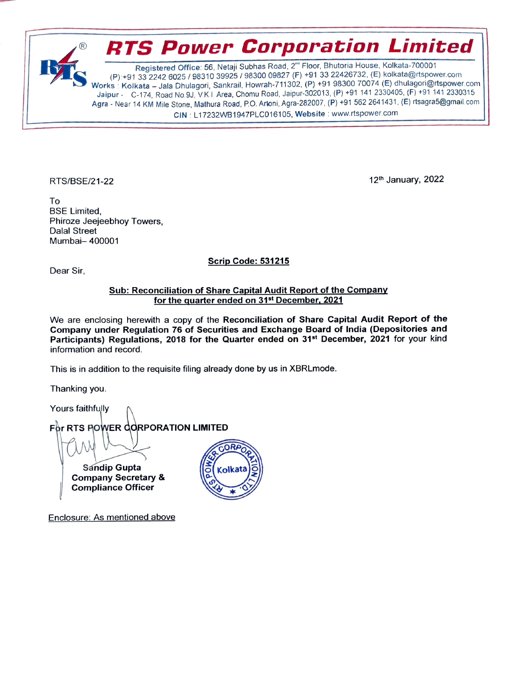

CIN : L17232WB1947PLC016105, Website : www.rtspower.com

RTS/BSE/21-22 12th January, 2022

To BSE Limited, Phiroze Jeejeebhoy Towers. Dalal Street Mumbai- 400001

Scrip Code: 531215

Dear Sir,

## Sub: Reconciliation of Share Capital Audit Report of the Company for the quarter ended on 31st December, 2021

We are enclosing herewith a copy of the Reconciliation of Share Capital Audit Report of the Company under Regulation 76 of Securities and Exchange Board of India (Depositories and Participants) Regulations, 2018 for the Quarter ended on 31<sup>st</sup> December, 2021 for your kind information and record.

This is in addition to the requisite filing already done by us in XBRLmode.

Thanking you.

Yours faithfully For RTS POWER CORPORATION LIMITED **CORPORT** Sandip Gupta<br>Company Secretary & Compliance Officer

Enclosure: As mentioned above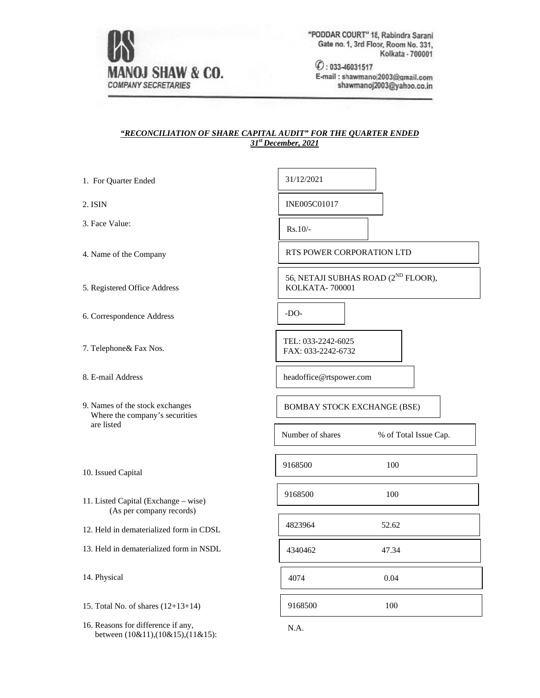

"PODDAR COURT" 18, Rabindra Sarani Gate no. 1, 3rd Floor, Room No. 331, Kolkata - 700001

 $O: 033 - 46031517$ E-mail: shawmano|2003@gmail.com shawmanoj2003@yahoo.co.in

## *"RECONCILIATION OF SHARE CAPITAL AUDIT" FOR THE QUARTER ENDED 31st December, 2021*

| 1. For Quarter Ended                                                              | 31/12/2021                                                        |  |  |  |  |
|-----------------------------------------------------------------------------------|-------------------------------------------------------------------|--|--|--|--|
| 2. ISIN                                                                           | INE005C01017                                                      |  |  |  |  |
| 3. Face Value:                                                                    | $Rs.10/-$                                                         |  |  |  |  |
| 4. Name of the Company                                                            | <b>RTS POWER CORPORATION LTD</b>                                  |  |  |  |  |
| 5. Registered Office Address                                                      | 56, NETAJI SUBHAS ROAD (2 <sup>ND</sup> FLOOR),<br>KOLKATA-700001 |  |  |  |  |
| 6. Correspondence Address                                                         | $-DO-$                                                            |  |  |  |  |
| 7. Telephone& Fax Nos.                                                            | TEL: 033-2242-6025<br>FAX: 033-2242-6732                          |  |  |  |  |
| 8. E-mail Address                                                                 | headoffice@rtspower.com                                           |  |  |  |  |
| 9. Names of the stock exchanges<br>Where the company's securities                 | <b>BOMBAY STOCK EXCHANGE (BSE)</b>                                |  |  |  |  |
| are listed                                                                        | Number of shares<br>% of Total Issue Cap.                         |  |  |  |  |
| 10. Issued Capital                                                                | 9168500<br>100                                                    |  |  |  |  |
| 11. Listed Capital (Exchange – wise)<br>(As per company records)                  | 9168500<br>100                                                    |  |  |  |  |
| 12. Held in dematerialized form in CDSL                                           | 4823964<br>52.62                                                  |  |  |  |  |
| 13. Held in dematerialized form in NSDL                                           | 4340462<br>47.34                                                  |  |  |  |  |
| 14. Physical                                                                      | 4074<br>0.04                                                      |  |  |  |  |
| 15. Total No. of shares $(12+13+14)$                                              | 9168500<br>100                                                    |  |  |  |  |
| 16. Reasons for difference if any,<br>between $(10&11)$ , $(10&15)$ , $(11&15)$ : | N.A.                                                              |  |  |  |  |